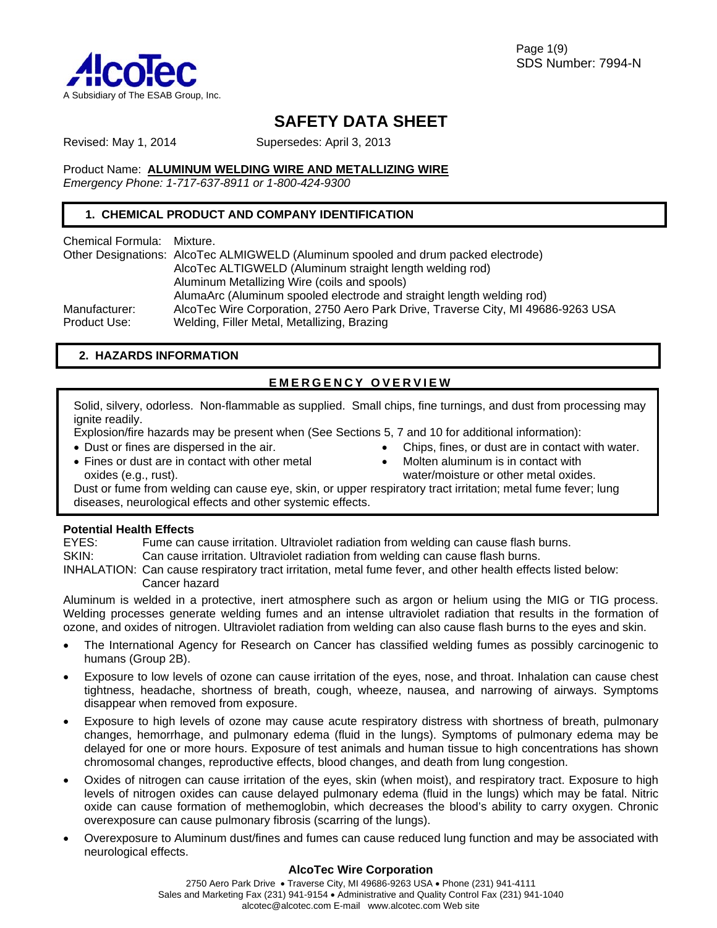

Page 1(9) SDS Number: 7994-N

# **SAFETY DATA SHEET**

Revised: May 1, 2014 Supersedes: April 3, 2013

Product Name: **ALUMINUM WELDING WIRE AND METALLIZING WIRE**

*Emergency Phone: 1-717-637-8911 or 1-800-424-9300*

# **1. CHEMICAL PRODUCT AND COMPANY IDENTIFICATION**

Chemical Formula: Mixture.

| Other Designations: AlcoTec ALMIGWELD (Aluminum spooled and drum packed electrode) |
|------------------------------------------------------------------------------------|
| AlcoTec ALTIGWELD (Aluminum straight length welding rod)                           |
| Aluminum Metallizing Wire (coils and spools)                                       |
| AlumaArc (Aluminum spooled electrode and straight length welding rod)              |
| AlcoTec Wire Corporation, 2750 Aero Park Drive, Traverse City, MI 49686-9263 USA   |
| Welding, Filler Metal, Metallizing, Brazing                                        |
|                                                                                    |

# **2. HAZARDS INFORMATION**

# **EMERGENCY OVERVIEW**

Solid, silvery, odorless. Non-flammable as supplied. Small chips, fine turnings, and dust from processing may ignite readily.

Explosion/fire hazards may be present when (See Sections 5, 7 and 10 for additional information):

• Dust or fines are dispersed in the air.

- Chips, fines, or dust are in contact with water.
- Fines or dust are in contact with other metal oxides (e.g., rust).
- Molten aluminum is in contact with water/moisture or other metal oxides.

Dust or fume from welding can cause eye, skin, or upper respiratory tract irritation; metal fume fever; lung diseases, neurological effects and other systemic effects.

## **Potential Health Effects**

EYES: Fume can cause irritation. Ultraviolet radiation from welding can cause flash burns.

- SKIN: Can cause irritation. Ultraviolet radiation from welding can cause flash burns.
- INHALATION: Can cause respiratory tract irritation, metal fume fever, and other health effects listed below: Cancer hazard

Aluminum is welded in a protective, inert atmosphere such as argon or helium using the MIG or TIG process. Welding processes generate welding fumes and an intense ultraviolet radiation that results in the formation of ozone, and oxides of nitrogen. Ultraviolet radiation from welding can also cause flash burns to the eyes and skin.

- The International Agency for Research on Cancer has classified welding fumes as possibly carcinogenic to humans (Group 2B).
- Exposure to low levels of ozone can cause irritation of the eyes, nose, and throat. Inhalation can cause chest tightness, headache, shortness of breath, cough, wheeze, nausea, and narrowing of airways. Symptoms disappear when removed from exposure.
- Exposure to high levels of ozone may cause acute respiratory distress with shortness of breath, pulmonary changes, hemorrhage, and pulmonary edema (fluid in the lungs). Symptoms of pulmonary edema may be delayed for one or more hours. Exposure of test animals and human tissue to high concentrations has shown chromosomal changes, reproductive effects, blood changes, and death from lung congestion.
- Oxides of nitrogen can cause irritation of the eyes, skin (when moist), and respiratory tract. Exposure to high levels of nitrogen oxides can cause delayed pulmonary edema (fluid in the lungs) which may be fatal. Nitric oxide can cause formation of methemoglobin, which decreases the blood's ability to carry oxygen. Chronic overexposure can cause pulmonary fibrosis (scarring of the lungs).
- Overexposure to Aluminum dust/fines and fumes can cause reduced lung function and may be associated with neurological effects.

### **AlcoTec Wire Corporation**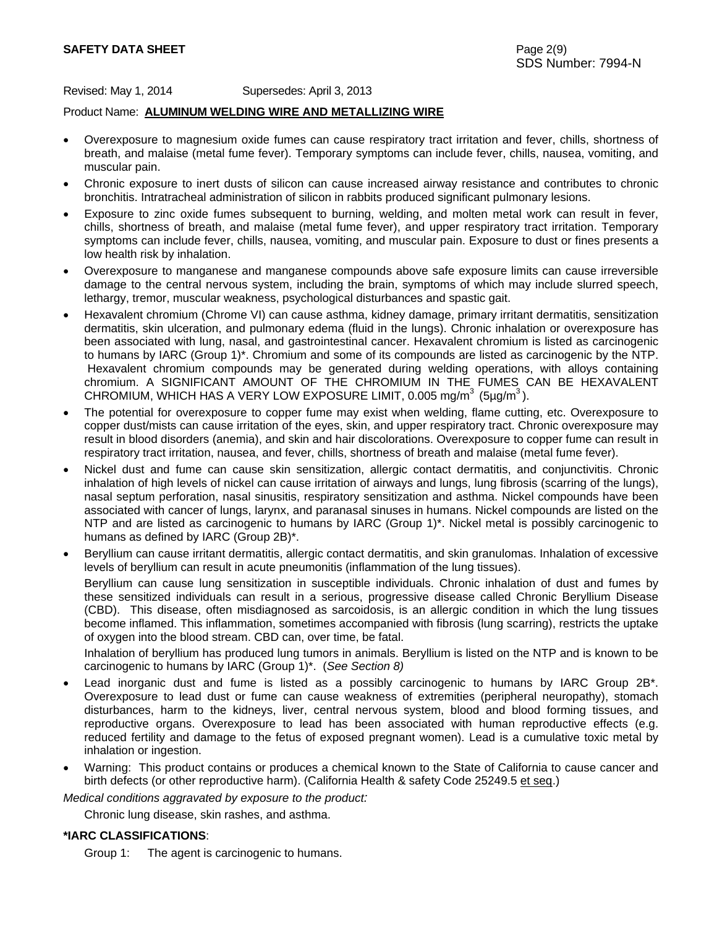## **SAFETY DATA SHEET** Page 2(9)

Revised: May 1, 2014 Supersedes: April 3, 2013

#### Product Name: **ALUMINUM WELDING WIRE AND METALLIZING WIRE**

- Overexposure to magnesium oxide fumes can cause respiratory tract irritation and fever, chills, shortness of breath, and malaise (metal fume fever). Temporary symptoms can include fever, chills, nausea, vomiting, and muscular pain.
- Chronic exposure to inert dusts of silicon can cause increased airway resistance and contributes to chronic bronchitis. Intratracheal administration of silicon in rabbits produced significant pulmonary lesions.
- Exposure to zinc oxide fumes subsequent to burning, welding, and molten metal work can result in fever, chills, shortness of breath, and malaise (metal fume fever), and upper respiratory tract irritation. Temporary symptoms can include fever, chills, nausea, vomiting, and muscular pain. Exposure to dust or fines presents a low health risk by inhalation.
- Overexposure to manganese and manganese compounds above safe exposure limits can cause irreversible damage to the central nervous system, including the brain, symptoms of which may include slurred speech, lethargy, tremor, muscular weakness, psychological disturbances and spastic gait.
- Hexavalent chromium (Chrome VI) can cause asthma, kidney damage, primary irritant dermatitis, sensitization dermatitis, skin ulceration, and pulmonary edema (fluid in the lungs). Chronic inhalation or overexposure has been associated with lung, nasal, and gastrointestinal cancer. Hexavalent chromium is listed as carcinogenic to humans by IARC (Group 1)\*. Chromium and some of its compounds are listed as carcinogenic by the NTP. Hexavalent chromium compounds may be generated during welding operations, with alloys containing chromium. A SIGNIFICANT AMOUNT OF THE CHROMIUM IN THE FUMES CAN BE HEXAVALENT CHROMIUM, WHICH HAS A VERY LOW EXPOSURE LIMIT, 0.005 mg/m<sup>3</sup> (5µg/m<sup>3</sup>).
- The potential for overexposure to copper fume may exist when welding, flame cutting, etc. Overexposure to copper dust/mists can cause irritation of the eyes, skin, and upper respiratory tract. Chronic overexposure may result in blood disorders (anemia), and skin and hair discolorations. Overexposure to copper fume can result in respiratory tract irritation, nausea, and fever, chills, shortness of breath and malaise (metal fume fever).
- Nickel dust and fume can cause skin sensitization, allergic contact dermatitis, and conjunctivitis. Chronic inhalation of high levels of nickel can cause irritation of airways and lungs, lung fibrosis (scarring of the lungs), nasal septum perforation, nasal sinusitis, respiratory sensitization and asthma. Nickel compounds have been associated with cancer of lungs, larynx, and paranasal sinuses in humans. Nickel compounds are listed on the NTP and are listed as carcinogenic to humans by IARC (Group 1)\*. Nickel metal is possibly carcinogenic to humans as defined by IARC (Group 2B)\*.
- Beryllium can cause irritant dermatitis, allergic contact dermatitis, and skin granulomas. Inhalation of excessive levels of beryllium can result in acute pneumonitis (inflammation of the lung tissues). Beryllium can cause lung sensitization in susceptible individuals. Chronic inhalation of dust and fumes by these sensitized individuals can result in a serious, progressive disease called Chronic Beryllium Disease (CBD). This disease, often misdiagnosed as sarcoidosis, is an allergic condition in which the lung tissues become inflamed. This inflammation, sometimes accompanied with fibrosis (lung scarring), restricts the uptake of oxygen into the blood stream. CBD can, over time, be fatal.

Inhalation of beryllium has produced lung tumors in animals. Beryllium is listed on the NTP and is known to be carcinogenic to humans by IARC (Group 1)\*. (*See Section 8)* 

- Lead inorganic dust and fume is listed as a possibly carcinogenic to humans by IARC Group 2B<sup>\*</sup>. Overexposure to lead dust or fume can cause weakness of extremities (peripheral neuropathy), stomach disturbances, harm to the kidneys, liver, central nervous system, blood and blood forming tissues, and reproductive organs. Overexposure to lead has been associated with human reproductive effects (e.g. reduced fertility and damage to the fetus of exposed pregnant women). Lead is a cumulative toxic metal by inhalation or ingestion.
- Warning: This product contains or produces a chemical known to the State of California to cause cancer and birth defects (or other reproductive harm). (California Health & safety Code 25249.5 et seq.)

*Medical conditions aggravated by exposure to the product:* 

Chronic lung disease, skin rashes, and asthma.

### **\*IARC CLASSIFICATIONS**:

Group 1: The agent is carcinogenic to humans.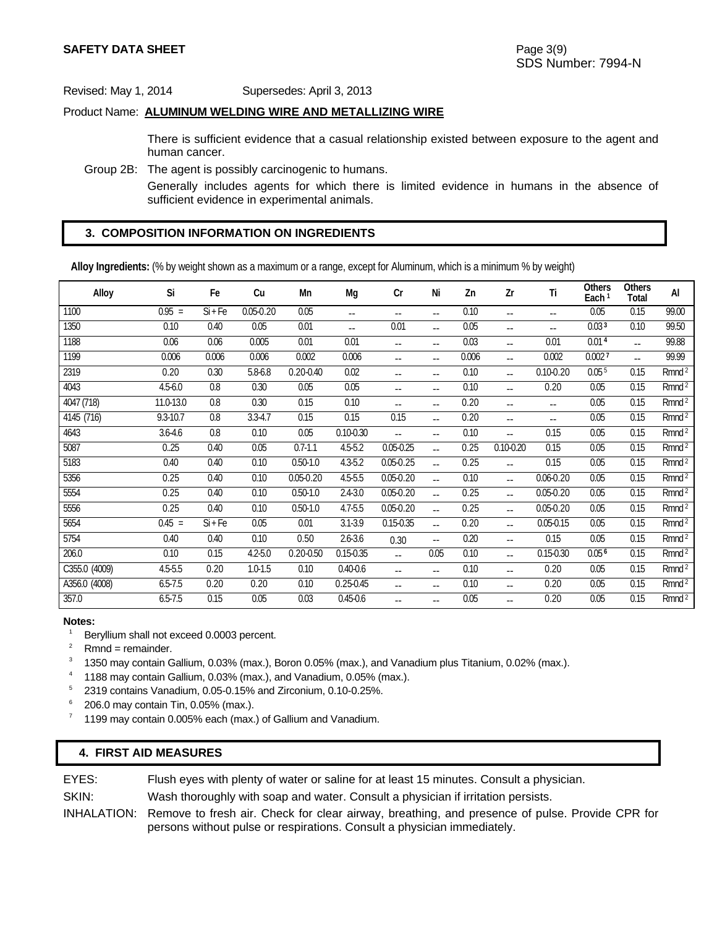#### Product Name: **ALUMINUM WELDING WIRE AND METALLIZING WIRE**

 There is sufficient evidence that a casual relationship existed between exposure to the agent and human cancer.

Group 2B: The agent is possibly carcinogenic to humans.

 Generally includes agents for which there is limited evidence in humans in the absence of sufficient evidence in experimental animals.

# **3. COMPOSITION INFORMATION ON INGREDIENTS**

**Alloy Ingredients:** (% by weight shown as a maximum or a range, except for Aluminum, which is a minimum % by weight)

| Alloy         | Si          | Fe        | Cu            | Mn            | Mg            | Cr             | Ni             | Zn    | Zr            | Τi                       | <b>Others</b><br>Each <sup>1</sup> | Others<br>Total | Al                  |
|---------------|-------------|-----------|---------------|---------------|---------------|----------------|----------------|-------|---------------|--------------------------|------------------------------------|-----------------|---------------------|
| 1100          | $0.95 =$    | $Si$ + Fe | $0.05 - 0.20$ | 0.05          | $-$           | --             | --             | 0.10  | --            | $- -$                    | 0.05                               | 0.15            | 99.00               |
| 1350          | 0.10        | 0.40      | 0.05          | 0.01          | --            | 0.01           | $\overline{a}$ | 0.05  | --            | $\overline{\phantom{a}}$ | 0.03 <sup>3</sup>                  | 0.10            | 99.50               |
| 1188          | 0.06        | 0.06      | 0.005         | 0.01          | 0.01          | --             | $-$            | 0.03  | $-$           | 0.01                     | 0.014                              | $-$             | 99.88               |
| 1199          | 0.006       | 0.006     | 0.006         | 0.002         | 0.006         | --             | --             | 0.006 | --            | 0.002                    | 0.002 <sup>7</sup>                 | --              | 99.99               |
| 2319          | 0.20        | 0.30      | 5.8-6.8       | $0.20 - 0.40$ | 0.02          | --             | $-$            | 0.10  | --            | $0.10 - 0.20$            | 0.05 <sup>5</sup>                  | 0.15            | Rmnd <sup>2</sup>   |
| 4043          | $4.5 - 6.0$ | 0.8       | 0.30          | 0.05          | 0.05          | --             | --             | 0.10  | --            | 0.20                     | 0.05                               | 0.15            | Rmnd <sup>2</sup>   |
| 4047 (718)    | 11.0-13.0   | 0.8       | 0.30          | 0.15          | 0.10          | --             | $-$            | 0.20  | --            | $\overline{\phantom{a}}$ | 0.05                               | 0.15            | Rmnd <sup>2</sup>   |
| 4145 (716)    | 9.3-10.7    | 0.8       | $3.3 - 4.7$   | 0.15          | 0.15          | 0.15           | $\overline{a}$ | 0.20  | --            | $-$                      | 0.05                               | 0.15            | Rmnd <sup>2</sup>   |
| 4643          | $3.6 - 4.6$ | 0.8       | 0.10          | 0.05          | $0.10 - 0.30$ | --             | --             | 0.10  | --            | 0.15                     | 0.05                               | 0.15            | Rmnd <sup>2</sup>   |
| 5087          | 0.25        | 0.40      | 0.05          | $0.7 - 1.1$   | $4.5 - 5.2$   | $0.05 - 0.25$  | $\overline{a}$ | 0.25  | $0.10 - 0.20$ | 0.15                     | 0.05                               | 0.15            | $Rm\overline{nd^2}$ |
| 5183          | 0.40        | 0.40      | 0.10          | $0.50 - 1.0$  | $4.3 - 5.2$   | $0.05 - 0.25$  | $\overline{a}$ | 0.25  | --            | 0.15                     | 0.05                               | 0.15            | Rmnd <sup>2</sup>   |
| 5356          | 0.25        | 0.40      | 0.10          | $0.05 - 0.20$ | $4.5 - 5.5$   | $0.05 - 0.20$  | $\overline{a}$ | 0.10  | --            | $0.06 - 0.20$            | 0.05                               | 0.15            | Rmnd <sup>2</sup>   |
| 5554          | 0.25        | 0.40      | 0.10          | $0.50 - 1.0$  | $2.4 - 3.0$   | $0.05 - 0.20$  | $-$            | 0.25  | --            | $0.05 - 0.20$            | 0.05                               | 0.15            | Rmnd <sup>2</sup>   |
| 5556          | 0.25        | 0.40      | 0.10          | $0.50 - 1.0$  | 4.7-5.5       | $0.05 - 0.20$  | $\overline{a}$ | 0.25  | --            | $0.05 - 0.20$            | 0.05                               | 0.15            | Rmnd <sup>2</sup>   |
| 5654          | $0.45 =$    | $Si + Fe$ | 0.05          | 0.01          | $3.1 - 3.9$   | $0.15 - 0.35$  | $\overline{a}$ | 0.20  | $-$           | $0.05 - 0.15$            | 0.05                               | 0.15            | Rmnd <sup>2</sup>   |
| 5754          | 0.40        | 0.40      | 0.10          | 0.50          | $2.6 - 3.6$   | 0.30           | $\overline{a}$ | 0.20  | --            | 0.15                     | 0.05                               | 0.15            | Rmnd <sup>2</sup>   |
| 206.0         | 0.10        | 0.15      | $4.2 - 5.0$   | $0.20 - 0.50$ | $0.15 - 0.35$ | $\overline{a}$ | 0.05           | 0.10  | --            | $0.15 - 0.30$            | 0.05 <sup>6</sup>                  | 0.15            | Rmnd <sup>2</sup>   |
| C355.0 (4009) | $4.5 - 5.5$ | 0.20      | $1.0 - 1.5$   | 0.10          | $0.40 - 0.6$  | --             | $\overline{a}$ | 0.10  | --            | 0.20                     | 0.05                               | 0.15            | $Rm\overline{nd^2}$ |
| A356.0 (4008) | $6.5 - 7.5$ | 0.20      | 0.20          | 0.10          | $0.25 - 0.45$ | --             | $-$            | 0.10  | --            | 0.20                     | 0.05                               | 0.15            | $Rmnd^2$            |
| 357.0         | $6.5 - 7.5$ | 0.15      | 0.05          | 0.03          | $0.45 - 0.6$  | --             | --             | 0.05  | --            | 0.20                     | 0.05                               | 0.15            | Rmnd <sup>2</sup>   |

#### **Notes:**

- 1 Beryllium shall not exceed 0.0003 percent.
- 2 Rmnd = remainder.
- 3 <sup>3</sup> 1350 may contain Gallium, 0.03% (max.), Boron 0.05% (max.), and Vanadium plus Titanium, 0.02% (max.).
- <sup>4</sup> 1188 may contain Gallium, 0.03% (max.), and Vanadium, 0.05% (max.).
- <sup>5</sup> 2319 contains Vanadium, 0.05-0.15% and Zirconium, 0.10-0.25%.<br><sup>6</sup> 206.0 may contain Tin, 0.05% (max.).
- 
- $7$  1199 may contain 0.005% each (max.) of Gallium and Vanadium.

# **4. FIRST AID MEASURES**

EYES: Flush eyes with plenty of water or saline for at least 15 minutes. Consult a physician.

SKIN: Wash thoroughly with soap and water. Consult a physician if irritation persists.

INHALATION: Remove to fresh air. Check for clear airway, breathing, and presence of pulse. Provide CPR for persons without pulse or respirations. Consult a physician immediately.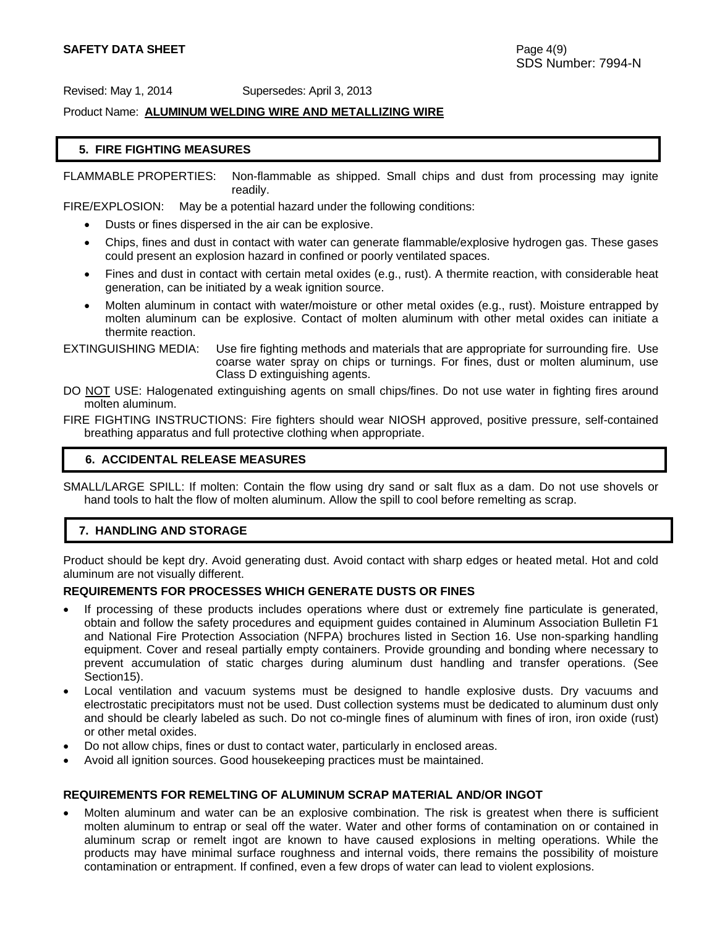Product Name: **ALUMINUM WELDING WIRE AND METALLIZING WIRE**

### **5. FIRE FIGHTING MEASURES**

FLAMMABLE PROPERTIES: Non-flammable as shipped. Small chips and dust from processing may ignite readily.

FIRE/EXPLOSION: May be a potential hazard under the following conditions:

- Dusts or fines dispersed in the air can be explosive.
- Chips, fines and dust in contact with water can generate flammable/explosive hydrogen gas. These gases could present an explosion hazard in confined or poorly ventilated spaces.
- Fines and dust in contact with certain metal oxides (e.g., rust). A thermite reaction, with considerable heat generation, can be initiated by a weak ignition source.
- Molten aluminum in contact with water/moisture or other metal oxides (e.g., rust). Moisture entrapped by molten aluminum can be explosive. Contact of molten aluminum with other metal oxides can initiate a thermite reaction.

EXTINGUISHING MEDIA: Use fire fighting methods and materials that are appropriate for surrounding fire. Use coarse water spray on chips or turnings. For fines, dust or molten aluminum, use Class D extinguishing agents.

DO NOT USE: Halogenated extinguishing agents on small chips/fines. Do not use water in fighting fires around molten aluminum.

FIRE FIGHTING INSTRUCTIONS: Fire fighters should wear NIOSH approved, positive pressure, self-contained breathing apparatus and full protective clothing when appropriate.

### **6. ACCIDENTAL RELEASE MEASURES**

SMALL/LARGE SPILL: If molten: Contain the flow using dry sand or salt flux as a dam. Do not use shovels or hand tools to halt the flow of molten aluminum. Allow the spill to cool before remelting as scrap.

### **7. HANDLING AND STORAGE**

Product should be kept dry. Avoid generating dust. Avoid contact with sharp edges or heated metal. Hot and cold aluminum are not visually different.

### **REQUIREMENTS FOR PROCESSES WHICH GENERATE DUSTS OR FINES**

- If processing of these products includes operations where dust or extremely fine particulate is generated, obtain and follow the safety procedures and equipment guides contained in Aluminum Association Bulletin F1 and National Fire Protection Association (NFPA) brochures listed in Section 16. Use non-sparking handling equipment. Cover and reseal partially empty containers. Provide grounding and bonding where necessary to prevent accumulation of static charges during aluminum dust handling and transfer operations. (See Section15).
- Local ventilation and vacuum systems must be designed to handle explosive dusts. Dry vacuums and electrostatic precipitators must not be used. Dust collection systems must be dedicated to aluminum dust only and should be clearly labeled as such. Do not co-mingle fines of aluminum with fines of iron, iron oxide (rust) or other metal oxides.
- Do not allow chips, fines or dust to contact water, particularly in enclosed areas.
- Avoid all ignition sources. Good housekeeping practices must be maintained.

### **REQUIREMENTS FOR REMELTING OF ALUMINUM SCRAP MATERIAL AND/OR INGOT**

Molten aluminum and water can be an explosive combination. The risk is greatest when there is sufficient molten aluminum to entrap or seal off the water. Water and other forms of contamination on or contained in aluminum scrap or remelt ingot are known to have caused explosions in melting operations. While the products may have minimal surface roughness and internal voids, there remains the possibility of moisture contamination or entrapment. If confined, even a few drops of water can lead to violent explosions.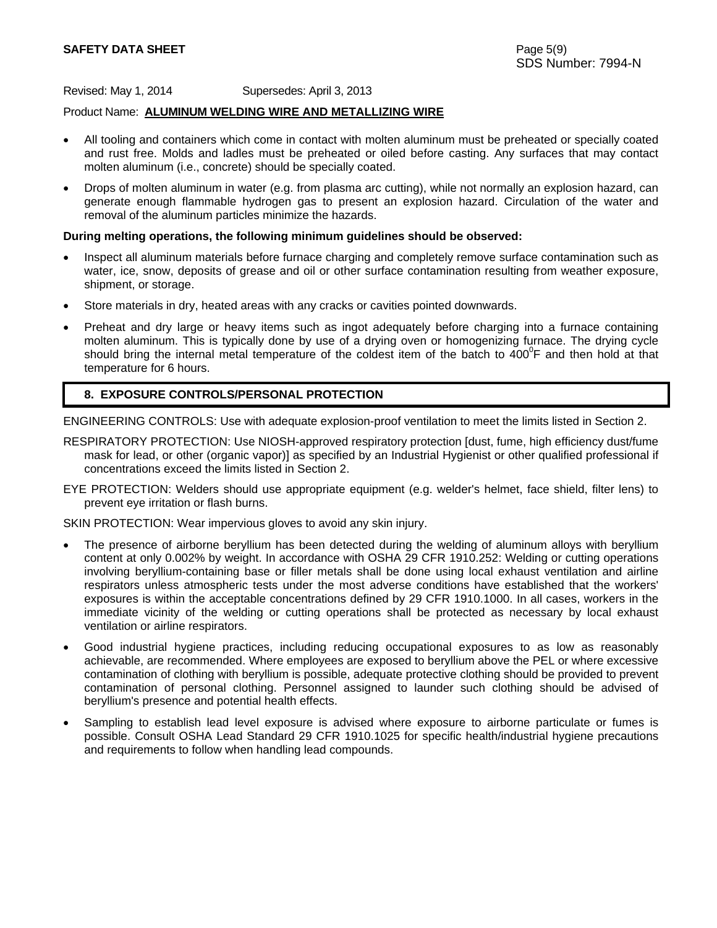## **SAFETY DATA SHEET** Page 5(9)

Revised: May 1, 2014 Supersedes: April 3, 2013

### Product Name: **ALUMINUM WELDING WIRE AND METALLIZING WIRE**

- All tooling and containers which come in contact with molten aluminum must be preheated or specially coated and rust free. Molds and ladles must be preheated or oiled before casting. Any surfaces that may contact molten aluminum (i.e., concrete) should be specially coated.
- Drops of molten aluminum in water (e.g. from plasma arc cutting), while not normally an explosion hazard, can generate enough flammable hydrogen gas to present an explosion hazard. Circulation of the water and removal of the aluminum particles minimize the hazards.

#### **During melting operations, the following minimum guidelines should be observed:**

- Inspect all aluminum materials before furnace charging and completely remove surface contamination such as water, ice, snow, deposits of grease and oil or other surface contamination resulting from weather exposure, shipment, or storage.
- Store materials in dry, heated areas with any cracks or cavities pointed downwards.
- Preheat and dry large or heavy items such as ingot adequately before charging into a furnace containing molten aluminum. This is typically done by use of a drying oven or homogenizing furnace. The drying cycle should bring the internal metal temperature of the coldest item of the batch to  $400^{\circ}$ F and then hold at that temperature for 6 hours.

### **8. EXPOSURE CONTROLS/PERSONAL PROTECTION**

ENGINEERING CONTROLS: Use with adequate explosion-proof ventilation to meet the limits listed in Section 2.

- RESPIRATORY PROTECTION: Use NIOSH-approved respiratory protection [dust, fume, high efficiency dust/fume mask for lead, or other (organic vapor)] as specified by an Industrial Hygienist or other qualified professional if concentrations exceed the limits listed in Section 2.
- EYE PROTECTION: Welders should use appropriate equipment (e.g. welder's helmet, face shield, filter lens) to prevent eye irritation or flash burns.

SKIN PROTECTION: Wear impervious gloves to avoid any skin injury.

- The presence of airborne beryllium has been detected during the welding of aluminum alloys with beryllium content at only 0.002% by weight. In accordance with OSHA 29 CFR 1910.252: Welding or cutting operations involving beryllium-containing base or filler metals shall be done using local exhaust ventilation and airline respirators unless atmospheric tests under the most adverse conditions have established that the workers' exposures is within the acceptable concentrations defined by 29 CFR 1910.1000. In all cases, workers in the immediate vicinity of the welding or cutting operations shall be protected as necessary by local exhaust ventilation or airline respirators.
- Good industrial hygiene practices, including reducing occupational exposures to as low as reasonably achievable, are recommended. Where employees are exposed to beryllium above the PEL or where excessive contamination of clothing with beryllium is possible, adequate protective clothing should be provided to prevent contamination of personal clothing. Personnel assigned to launder such clothing should be advised of beryllium's presence and potential health effects.
- Sampling to establish lead level exposure is advised where exposure to airborne particulate or fumes is possible. Consult OSHA Lead Standard 29 CFR 1910.1025 for specific health/industrial hygiene precautions and requirements to follow when handling lead compounds.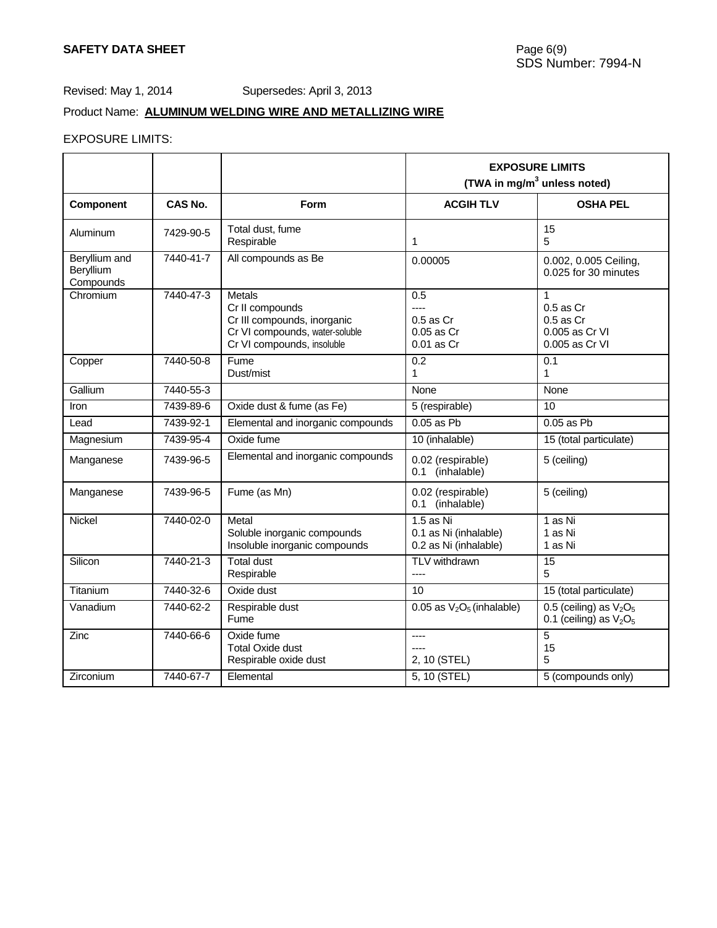# Product Name: **ALUMINUM WELDING WIRE AND METALLIZING WIRE**

# EXPOSURE LIMITS:

|                                         |           |                                                                                                                                 | <b>EXPOSURE LIMITS</b><br>(TWA in mg/m <sup>3</sup> unless noted)               |                                                                         |  |
|-----------------------------------------|-----------|---------------------------------------------------------------------------------------------------------------------------------|---------------------------------------------------------------------------------|-------------------------------------------------------------------------|--|
| <b>Component</b>                        | CAS No.   | <b>Form</b>                                                                                                                     | <b>ACGIH TLV</b>                                                                | <b>OSHA PEL</b>                                                         |  |
| Aluminum                                | 7429-90-5 | Total dust, fume<br>Respirable                                                                                                  | 1                                                                               | 15<br>5                                                                 |  |
| Beryllium and<br>Beryllium<br>Compounds | 7440-41-7 | All compounds as Be                                                                                                             | 0.00005                                                                         | 0.002, 0.005 Ceiling,<br>0.025 for 30 minutes                           |  |
| Chromium                                | 7440-47-3 | <b>Metals</b><br>Cr II compounds<br>Cr III compounds, inorganic<br>Cr VI compounds, water-soluble<br>Cr VI compounds, insoluble | 0.5<br>----<br>$0.5$ as $Cr$<br>0.05 as Cr<br>0.01 as Cr                        | 1<br>$0.5$ as $Cr$<br>$0.5$ as $Cr$<br>0.005 as Cr VI<br>0.005 as Cr VI |  |
| Copper                                  | 7440-50-8 | Fume<br>Dust/mist                                                                                                               | 0.2<br>1                                                                        | 0.1<br>1                                                                |  |
| Gallium                                 | 7440-55-3 |                                                                                                                                 | None                                                                            | None                                                                    |  |
| Iron                                    | 7439-89-6 | Oxide dust & fume (as Fe)                                                                                                       | 5 (respirable)                                                                  | 10                                                                      |  |
| Lead                                    | 7439-92-1 | Elemental and inorganic compounds                                                                                               | $0.05$ as Pb                                                                    | $0.05$ as Pb                                                            |  |
| Magnesium                               | 7439-95-4 | Oxide fume                                                                                                                      | 10 (inhalable)                                                                  | 15 (total particulate)                                                  |  |
| Manganese                               | 7439-96-5 | Elemental and inorganic compounds                                                                                               | 0.02 (respirable)<br>0.1 (inhalable)                                            | 5 (ceiling)                                                             |  |
| Manganese                               | 7439-96-5 | Fume (as Mn)                                                                                                                    | 0.02 (respirable)<br>0.1 (inhalable)                                            | 5 (ceiling)                                                             |  |
| Nickel                                  | 7440-02-0 | Metal<br>Soluble inorganic compounds<br>Insoluble inorganic compounds                                                           | 1.5 as $\overline{\text{Ni}}$<br>0.1 as Ni (inhalable)<br>0.2 as Ni (inhalable) | 1 as Ni<br>1 as Ni<br>1 as Ni                                           |  |
| Silicon                                 | 7440-21-3 | <b>Total dust</b><br>Respirable                                                                                                 | TLV withdrawn<br>$---$                                                          | 15<br>5                                                                 |  |
| Titanium                                | 7440-32-6 | Oxide dust                                                                                                                      | 10                                                                              | 15 (total particulate)                                                  |  |
| Vanadium                                | 7440-62-2 | Respirable dust<br>Fume                                                                                                         | 0.05 as $V_2O_5$ (inhalable)                                                    | 0.5 (ceiling) as $V_2O_5$<br>0.1 (ceiling) as $V_2O_5$                  |  |
| Zinc                                    | 7440-66-6 | Oxide fume<br><b>Total Oxide dust</b><br>Respirable oxide dust                                                                  | ----<br>2, 10 (STEL)                                                            | 5<br>15<br>5                                                            |  |
| Zirconium                               | 7440-67-7 | Elemental                                                                                                                       | 5, 10 (STEL)                                                                    | 5 (compounds only)                                                      |  |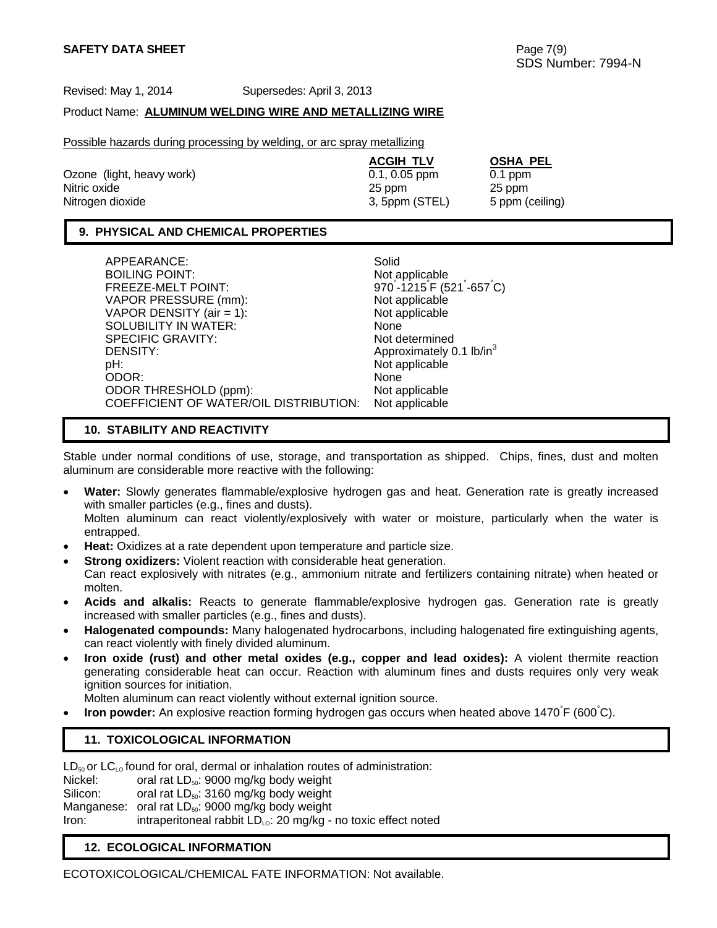### Product Name: **ALUMINUM WELDING WIRE AND METALLIZING WIRE**

Possible hazards during processing by welding, or arc spray metallizing

| <b>ACGIH TLV</b> | <b>OSHA PEL</b> |
|------------------|-----------------|
| $0.1, 0.05$ ppm  | $0.1$ ppm       |
| 25 ppm           | 25 ppm          |
| 3, 5ppm (STEL)   | 5 ppm (ceiling) |
|                  |                 |

## **9. PHYSICAL AND CHEMICAL PROPERTIES**

| APPEARANCE:                            | Solid                                                        |
|----------------------------------------|--------------------------------------------------------------|
| <b>BOILING POINT:</b>                  | Not applicable                                               |
| FREEZE-MELT POINT:                     | 970°-1215 <sup>°</sup> F (521 <sup>°-657<sup>°</sup>C)</sup> |
| VAPOR PRESSURE (mm):                   | Not applicable                                               |
| VAPOR DENSITY (air = 1):               | Not applicable                                               |
| SOLUBILITY IN WATER:                   | None                                                         |
| <b>SPECIFIC GRAVITY:</b>               | Not determined                                               |
| DENSITY:                               | Approximately 0.1 lb/in <sup>3</sup>                         |
| pH:                                    | Not applicable                                               |
| ODOR:                                  | None                                                         |
| ODOR THRESHOLD (ppm):                  | Not applicable                                               |
| COEFFICIENT OF WATER/OIL DISTRIBUTION: | Not applicable                                               |

### **10. STABILITY AND REACTIVITY**

Stable under normal conditions of use, storage, and transportation as shipped. Chips, fines, dust and molten aluminum are considerable more reactive with the following:

- **Water:** Slowly generates flammable/explosive hydrogen gas and heat. Generation rate is greatly increased with smaller particles (e.g., fines and dusts). Molten aluminum can react violently/explosively with water or moisture, particularly when the water is entrapped.
- **Heat:** Oxidizes at a rate dependent upon temperature and particle size.
- **Strong oxidizers:** Violent reaction with considerable heat generation. Can react explosively with nitrates (e.g., ammonium nitrate and fertilizers containing nitrate) when heated or
- molten.
- **Acids and alkalis:** Reacts to generate flammable/explosive hydrogen gas. Generation rate is greatly increased with smaller particles (e.g., fines and dusts).
- **Halogenated compounds:** Many halogenated hydrocarbons, including halogenated fire extinguishing agents, can react violently with finely divided aluminum.
- **Iron oxide (rust) and other metal oxides (e.g., copper and lead oxides):** A violent thermite reaction generating considerable heat can occur. Reaction with aluminum fines and dusts requires only very weak ignition sources for initiation.

Molten aluminum can react violently without external ignition source.

• Iron powder: An explosive reaction forming hydrogen gas occurs when heated above 1470<sup>°</sup>F (600<sup>°</sup>C).

## **11. TOXICOLOGICAL INFORMATION**

 $LD_{50}$  or  $LC_{LO}$  found for oral, dermal or inhalation routes of administration:

Nickel: oral rat  $LD_{50}$ : 9000 mg/kg body weight

Silicon: oral rat  $LD_{50}$ : 3160 mg/kg body weight

Manganese: oral rat LD<sub>50</sub>: 9000 mg/kg body weight

Iron: intraperitoneal rabbit  $LD_{10}$ : 20 mg/kg - no toxic effect noted

## **12. ECOLOGICAL INFORMATION**

ECOTOXICOLOGICAL/CHEMICAL FATE INFORMATION: Not available.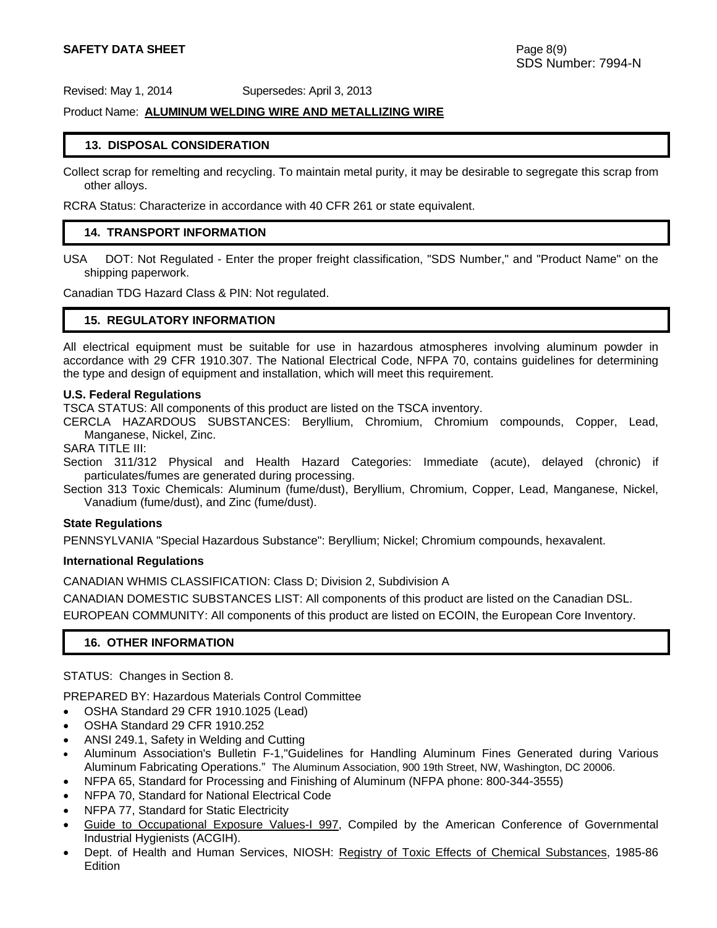### Product Name: **ALUMINUM WELDING WIRE AND METALLIZING WIRE**

#### **13. DISPOSAL CONSIDERATION**

Collect scrap for remelting and recycling. To maintain metal purity, it may be desirable to segregate this scrap from other alloys.

RCRA Status: Characterize in accordance with 40 CFR 261 or state equivalent.

### **14. TRANSPORT INFORMATION**

USA DOT: Not Regulated - Enter the proper freight classification, "SDS Number," and "Product Name" on the shipping paperwork.

Canadian TDG Hazard Class & PIN: Not regulated.

#### **15. REGULATORY INFORMATION**

All electrical equipment must be suitable for use in hazardous atmospheres involving aluminum powder in accordance with 29 CFR 1910.307. The National Electrical Code, NFPA 70, contains guidelines for determining the type and design of equipment and installation, which will meet this requirement.

#### **U.S. Federal Regulations**

TSCA STATUS: All components of this product are listed on the TSCA inventory.

CERCLA HAZARDOUS SUBSTANCES: Beryllium, Chromium, Chromium compounds, Copper, Lead, Manganese, Nickel, Zinc.

SARA TITLE III:

Section 311/312 Physical and Health Hazard Categories: Immediate (acute), delayed (chronic) if particulates/fumes are generated during processing.

Section 313 Toxic Chemicals: Aluminum (fume/dust), Beryllium, Chromium, Copper, Lead, Manganese, Nickel, Vanadium (fume/dust), and Zinc (fume/dust).

#### **State Regulations**

PENNSYLVANIA "Special Hazardous Substance": Beryllium; Nickel; Chromium compounds, hexavalent.

#### **International Regulations**

CANADIAN WHMIS CLASSIFICATION: Class D; Division 2, Subdivision A

CANADIAN DOMESTIC SUBSTANCES LIST: All components of this product are listed on the Canadian DSL. EUROPEAN COMMUNITY: All components of this product are listed on ECOIN, the European Core Inventory.

#### **16. OTHER INFORMATION**

STATUS: Changes in Section 8.

PREPARED BY: Hazardous Materials Control Committee

- OSHA Standard 29 CFR 1910.1025 (Lead)
- OSHA Standard 29 CFR 1910.252
- ANSI 249.1, Safety in Welding and Cutting
- Aluminum Association's Bulletin F-1,"Guidelines for Handling Aluminum Fines Generated during Various Aluminum Fabricating Operations." The Aluminum Association, 900 19th Street, NW, Washington, DC 20006.
- NFPA 65, Standard for Processing and Finishing of Aluminum (NFPA phone: 800-344-3555)
- NFPA 70, Standard for National Electrical Code
- NFPA 77, Standard for Static Electricity
- Guide to Occupational Exposure Values-I 997, Compiled by the American Conference of Governmental Industrial Hygienists (ACGIH).
- Dept. of Health and Human Services, NIOSH: Registry of Toxic Effects of Chemical Substances, 1985-86 **Edition**